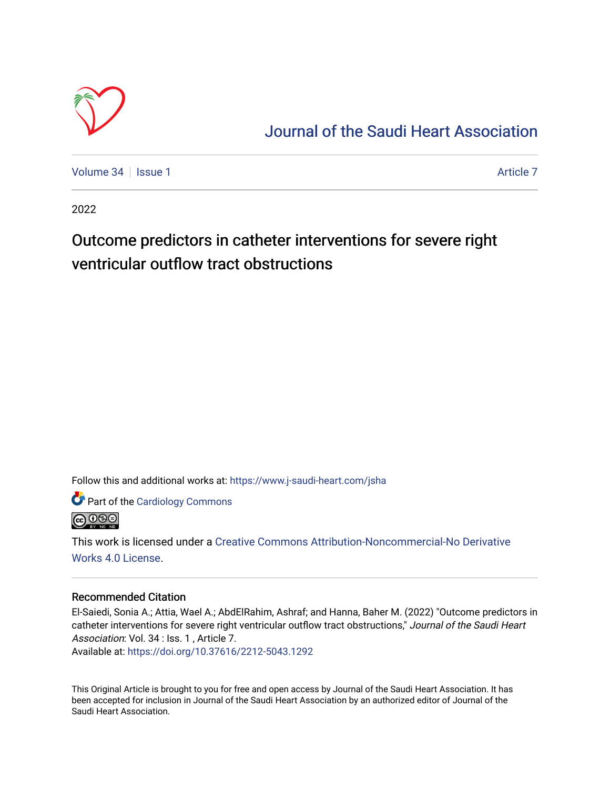

### [Journal of the Saudi Heart Association](https://www.j-saudi-heart.com/jsha)

[Volume 34](https://www.j-saudi-heart.com/jsha/vol34) | [Issue 1](https://www.j-saudi-heart.com/jsha/vol34/iss1) [Article 7](https://www.j-saudi-heart.com/jsha/vol34/iss1/7) Article 7 Article 7 Article 7 Article 7 Article 7 Article 7

2022

## Outcome predictors in catheter interventions for severe right ventricular outflow tract obstructions

Follow this and additional works at: [https://www.j-saudi-heart.com/jsha](https://www.j-saudi-heart.com/jsha?utm_source=www.j-saudi-heart.com%2Fjsha%2Fvol34%2Fiss1%2F7&utm_medium=PDF&utm_campaign=PDFCoverPages) 

Part of the [Cardiology Commons](https://network.bepress.com/hgg/discipline/683?utm_source=www.j-saudi-heart.com%2Fjsha%2Fvol34%2Fiss1%2F7&utm_medium=PDF&utm_campaign=PDFCoverPages)



This work is licensed under a [Creative Commons Attribution-Noncommercial-No Derivative](http://creativecommons.org/licenses/by-nc-nd/4.0/)  [Works 4.0 License](http://creativecommons.org/licenses/by-nc-nd/4.0/).

### Recommended Citation

El-Saiedi, Sonia A.; Attia, Wael A.; AbdElRahim, Ashraf; and Hanna, Baher M. (2022) "Outcome predictors in catheter interventions for severe right ventricular outflow tract obstructions," Journal of the Saudi Heart Association: Vol. 34 : Iss. 1 , Article 7.

Available at:<https://doi.org/10.37616/2212-5043.1292>

This Original Article is brought to you for free and open access by Journal of the Saudi Heart Association. It has been accepted for inclusion in Journal of the Saudi Heart Association by an authorized editor of Journal of the Saudi Heart Association.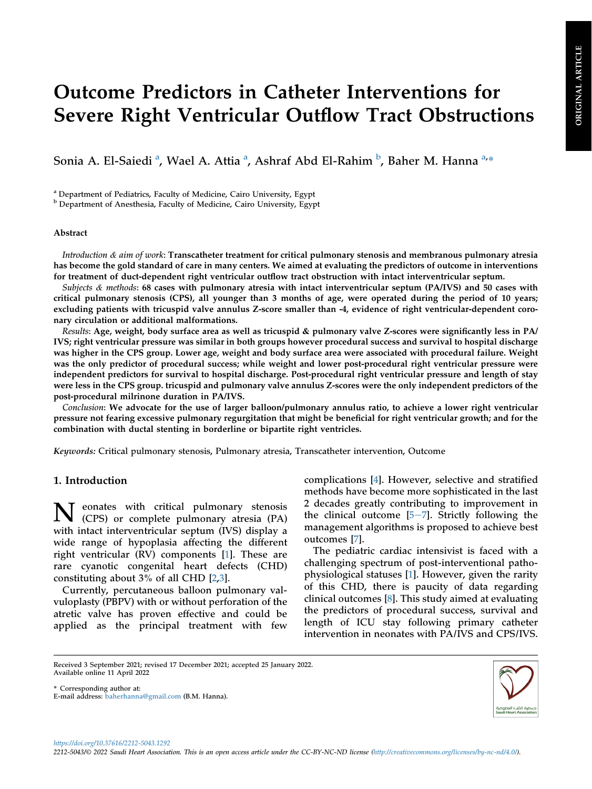# Outcome Predictors in Catheter Interventions for Severe Right Ventricular Outflow Tract Obstructions

Soni[a](#page-1-0) A. El-Saiedi <sup>a</sup>, Wael A. Attia <sup>a</sup>, Ashraf A[b](#page-1-1)d El-Rahim <sup>b</sup>, Baher M. Hanna <sup>a,</sup>\*

<span id="page-1-0"></span><sup>a</sup> Department of Pediatrics, Faculty of Medicine, Cairo University, Egypt

<span id="page-1-1"></span><sup>b</sup> Department of Anesthesia, Faculty of Medicine, Cairo University, Egypt

#### Abstract

Introduction  $\&$  aim of work: Transcatheter treatment for critical pulmonary stenosis and membranous pulmonary atresia has become the gold standard of care in many centers. We aimed at evaluating the predictors of outcome in interventions for treatment of duct-dependent right ventricular outflow tract obstruction with intact interventricular septum.

Subjects & methods: 68 cases with pulmonary atresia with intact interventricular septum (PA/IVS) and 50 cases with critical pulmonary stenosis (CPS), all younger than 3 months of age, were operated during the period of 10 years; excluding patients with tricuspid valve annulus Z-score smaller than -4, evidence of right ventricular-dependent coronary circulation or additional malformations.

Results: Age, weight, body surface area as well as tricuspid & pulmonary valve Z-scores were significantly less in PA/ IVS; right ventricular pressure was similar in both groups however procedural success and survival to hospital discharge was higher in the CPS group. Lower age, weight and body surface area were associated with procedural failure. Weight was the only predictor of procedural success; while weight and lower post-procedural right ventricular pressure were independent predictors for survival to hospital discharge. Post-procedural right ventricular pressure and length of stay were less in the CPS group. tricuspid and pulmonary valve annulus Z-scores were the only independent predictors of the post-procedural milrinone duration in PA/IVS.

Conclusion: We advocate for the use of larger balloon/pulmonary annulus ratio, to achieve a lower right ventricular pressure not fearing excessive pulmonary regurgitation that might be beneficial for right ventricular growth; and for the combination with ductal stenting in borderline or bipartite right ventricles.

Keywords: Critical pulmonary stenosis, Pulmonary atresia, Transcatheter intervention, Outcome

#### 1. Introduction

N eonates with critical pulmonary stenosis (CPS) or complete pulmonary atresia (PA) with intact interventricular septum (IVS) display a wide range of hypoplasia affecting the different right ventricular (RV) components [\[1](#page-11-0)]. These are rare cyanotic congenital heart defects (CHD) constituting about 3% of all CHD [\[2](#page-11-1),[3\]](#page-11-2).

Currently, percutaneous balloon pulmonary valvuloplasty (PBPV) with or without perforation of the atretic valve has proven effective and could be applied as the principal treatment with few

complications [[4\]](#page-11-3). However, selective and stratified methods have become more sophisticated in the last 2 decades greatly contributing to improvement in the clinical outcome  $[5-7]$  $[5-7]$  $[5-7]$ . Strictly following the management algorithms is proposed to achieve best outcomes [\[7](#page-11-5)].

The pediatric cardiac intensivist is faced with a challenging spectrum of post-interventional pathophysiological statuses [[1\]](#page-11-0). However, given the rarity of this CHD, there is paucity of data regarding clinical outcomes [[8\]](#page-11-6). This study aimed at evaluating the predictors of procedural success, survival and length of ICU stay following primary catheter intervention in neonates with PA/IVS and CPS/IVS.

\* Corresponding author at: E-mail address: baherhanna@gmail.com (B.M. Hanna).



Received 3 September 2021; revised 17 December 2021; accepted 25 January 2022. Available online 11 April 2022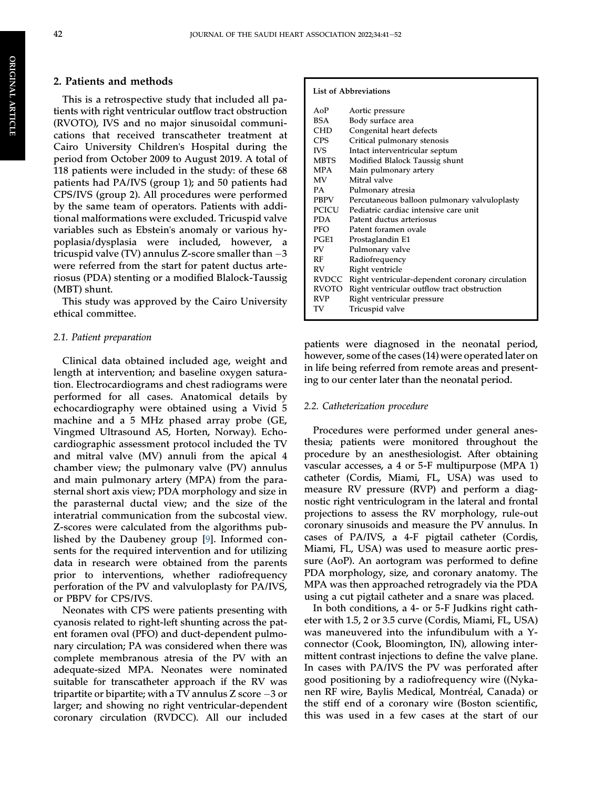#### 2. Patients and methods

This is a retrospective study that included all patients with right ventricular outflow tract obstruction (RVOTO), IVS and no major sinusoidal communications that received transcatheter treatment at Cairo University Children's Hospital during the period from October 2009 to August 2019. A total of 118 patients were included in the study: of these 68 patients had PA/IVS (group 1); and 50 patients had CPS/IVS (group 2). All procedures were performed by the same team of operators. Patients with additional malformations were excluded. Tricuspid valve variables such as Ebstein's anomaly or various hypoplasia/dysplasia were included, however, a tricuspid valve (TV) annulus Z-score smaller than  $-3$ were referred from the start for patent ductus arteriosus (PDA) stenting or a modified Blalock-Taussig (MBT) shunt.

This study was approved by the Cairo University ethical committee.

#### 2.1. Patient preparation

Clinical data obtained included age, weight and length at intervention; and baseline oxygen saturation. Electrocardiograms and chest radiograms were performed for all cases. Anatomical details by echocardiography were obtained using a Vivid 5 machine and a 5 MHz phased array probe (GE, Vingmed Ultrasound AS, Horten, Norway). Echocardiographic assessment protocol included the TV and mitral valve (MV) annuli from the apical 4 chamber view; the pulmonary valve (PV) annulus and main pulmonary artery (MPA) from the parasternal short axis view; PDA morphology and size in the parasternal ductal view; and the size of the interatrial communication from the subcostal view. Z-scores were calculated from the algorithms published by the Daubeney group [[9\]](#page-11-7). Informed consents for the required intervention and for utilizing data in research were obtained from the parents prior to interventions, whether radiofrequency perforation of the PV and valvuloplasty for PA/IVS, or PBPV for CPS/IVS.

Neonates with CPS were patients presenting with cyanosis related to right-left shunting across the patent foramen oval (PFO) and duct-dependent pulmonary circulation; PA was considered when there was complete membranous atresia of the PV with an adequate-sized MPA. Neonates were nominated suitable for transcatheter approach if the RV was tripartite or bipartite; with a TV annulus Z score  $-3$  or larger; and showing no right ventricular-dependent coronary circulation (RVDCC). All our included

#### List of Abbreviations

| $A \Omega P$ | Aortic pressure                                        |
|--------------|--------------------------------------------------------|
| BSA          | Body surface area                                      |
| CHD          | Congenital heart defects                               |
| <b>CPS</b>   | Critical pulmonary stenosis                            |
| <b>IVS</b>   | Intact interventricular septum                         |
| MBTS         | Modified Blalock Taussig shunt                         |
| <b>MPA</b>   | Main pulmonary artery                                  |
| <b>MV</b>    | Mitral valve                                           |
| <b>PA</b>    | Pulmonary atresia                                      |
| PBPV         | Percutaneous balloon pulmonary valvuloplasty           |
| PCICU        | Pediatric cardiac intensive care unit                  |
| PDA.         | Patent ductus arteriosus                               |
| PFO          | Patent foramen ovale                                   |
| PGE1         | Prostaglandin E1                                       |
| PV           | Pulmonary valve                                        |
| RF           | Radiofrequency                                         |
| RV           | Right ventricle                                        |
|              | RVDCC Right ventricular-dependent coronary circulation |
| RVOTO        | Right ventricular outflow tract obstruction            |
| <b>RVP</b>   | Right ventricular pressure                             |
| TV           | Tricuspid valve                                        |
|              |                                                        |

patients were diagnosed in the neonatal period, however, some of the cases (14) were operated later on in life being referred from remote areas and presenting to our center later than the neonatal period.

#### 2.2. Catheterization procedure

Procedures were performed under general anesthesia; patients were monitored throughout the procedure by an anesthesiologist. After obtaining vascular accesses, a 4 or 5-F multipurpose (MPA 1) catheter (Cordis, Miami, FL, USA) was used to measure RV pressure (RVP) and perform a diagnostic right ventriculogram in the lateral and frontal projections to assess the RV morphology, rule-out coronary sinusoids and measure the PV annulus. In cases of PA/IVS, a 4-F pigtail catheter (Cordis, Miami, FL, USA) was used to measure aortic pressure (AoP). An aortogram was performed to define PDA morphology, size, and coronary anatomy. The MPA was then approached retrogradely via the PDA using a cut pigtail catheter and a snare was placed.

In both conditions, a 4- or 5-F Judkins right catheter with 1.5, 2 or 3.5 curve (Cordis, Miami, FL, USA) was maneuvered into the infundibulum with a Yconnector (Cook, Bloomington, IN), allowing intermittent contrast injections to define the valve plane. In cases with PA/IVS the PV was perforated after good positioning by a radiofrequency wire ((Nykanen RF wire, Baylis Medical, Montreal, Canada) or the stiff end of a coronary wire (Boston scientific, this was used in a few cases at the start of our

ORIGINAL

**ORIGINAL ARTICLE** 

ARTICLE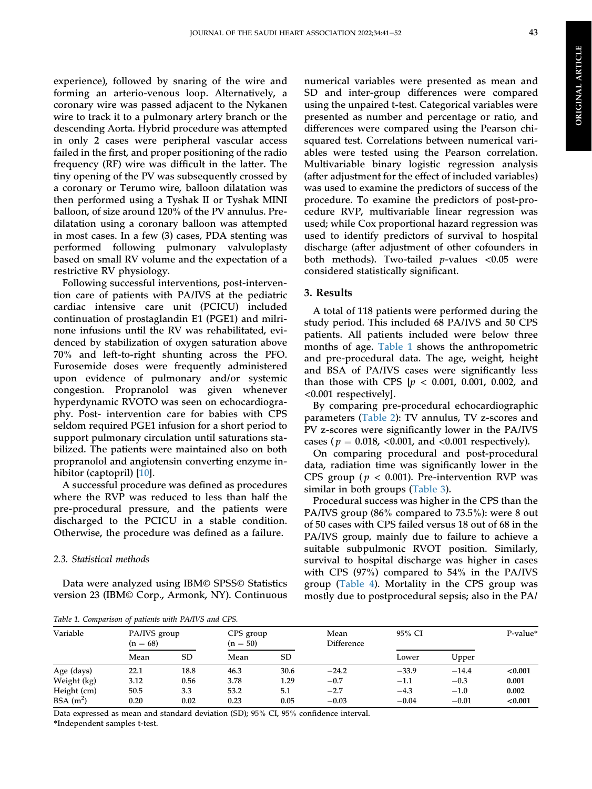experience), followed by snaring of the wire and forming an arterio-venous loop. Alternatively, a coronary wire was passed adjacent to the Nykanen wire to track it to a pulmonary artery branch or the descending Aorta. Hybrid procedure was attempted in only 2 cases were peripheral vascular access failed in the first, and proper positioning of the radio frequency (RF) wire was difficult in the latter. The tiny opening of the PV was subsequently crossed by a coronary or Terumo wire, balloon dilatation was then performed using a Tyshak II or Tyshak MINI balloon, of size around 120% of the PV annulus. Predilatation using a coronary balloon was attempted in most cases. In a few (3) cases, PDA stenting was performed following pulmonary valvuloplasty based on small RV volume and the expectation of a restrictive RV physiology.

Following successful interventions, post-intervention care of patients with PA/IVS at the pediatric cardiac intensive care unit (PCICU) included continuation of prostaglandin E1 (PGE1) and milrinone infusions until the RV was rehabilitated, evidenced by stabilization of oxygen saturation above 70% and left-to-right shunting across the PFO. Furosemide doses were frequently administered upon evidence of pulmonary and/or systemic congestion. Propranolol was given whenever hyperdynamic RVOTO was seen on echocardiography. Post- intervention care for babies with CPS seldom required PGE1 infusion for a short period to support pulmonary circulation until saturations stabilized. The patients were maintained also on both propranolol and angiotensin converting enzyme in-hibitor (captopril) [\[10](#page-11-8)].

A successful procedure was defined as procedures where the RVP was reduced to less than half the pre-procedural pressure, and the patients were discharged to the PCICU in a stable condition. Otherwise, the procedure was defined as a failure.

#### 2.3. Statistical methods

Data were analyzed using IBM© SPSS© Statistics version 23 (IBM© Corp., Armonk, NY). Continuous numerical variables were presented as mean and SD and inter-group differences were compared using the unpaired t-test. Categorical variables were presented as number and percentage or ratio, and differences were compared using the Pearson chisquared test. Correlations between numerical variables were tested using the Pearson correlation. Multivariable binary logistic regression analysis (after adjustment for the effect of included variables) was used to examine the predictors of success of the procedure. To examine the predictors of post-procedure RVP, multivariable linear regression was used; while Cox proportional hazard regression was used to identify predictors of survival to hospital discharge (after adjustment of other cofounders in both methods). Two-tailed *p*-values  $< 0.05$  were considered statistically significant.

#### 3. Results

A total of 118 patients were performed during the study period. This included 68 PA/IVS and 50 CPS patients. All patients included were below three months of age. [Table 1](#page-3-0) shows the anthropometric and pre-procedural data. The age, weight, height and BSA of PA/IVS cases were significantly less than those with CPS  $[p < 0.001, 0.001, 0.002,$  and <0.001 respectively].

By comparing pre-procedural echocardiographic parameters [\(Table 2\)](#page-4-0): TV annulus, TV z-scores and PV z-scores were significantly lower in the PA/IVS cases ( $p = 0.018$ , <0.001, and <0.001 respectively).

On comparing procedural and post-procedural data, radiation time was significantly lower in the CPS group ( $p < 0.001$ ). Pre-intervention RVP was similar in both groups ([Table 3](#page-4-1)).

Procedural success was higher in the CPS than the PA/IVS group (86% compared to 73.5%): were 8 out of 50 cases with CPS failed versus 18 out of 68 in the PA/IVS group, mainly due to failure to achieve a suitable subpulmonic RVOT position. Similarly, survival to hospital discharge was higher in cases with CPS (97%) compared to 54% in the PA/IVS group ([Table 4\)](#page-4-2). Mortality in the CPS group was mostly due to postprocedural sepsis; also in the PA/

<span id="page-3-0"></span>Table 1. Comparison of patients with PA/IVS and CPS.

| Variable                  | $(n = 68)$   | PA/IVS group |              | CPS group   | Mean<br>Difference | 95% CI            |                   | P-value*         |
|---------------------------|--------------|--------------|--------------|-------------|--------------------|-------------------|-------------------|------------------|
|                           | Mean         | <b>SD</b>    | Mean         | SD          |                    | Lower             | Upper             |                  |
| Age (days)                | 22.1         | 18.8         | 46.3         | 30.6        | $-24.2$            | $-33.9$           | $-14.4$           | < 0.001          |
| Weight (kg)               | 3.12         | 0.56         | 3.78         | 1.29        | $-0.7$             | $-1.1$            | $-0.3$            | 0.001            |
| Height (cm)<br>$BSA(m^2)$ | 50.5<br>0.20 | 3.3<br>0.02  | 53.2<br>0.23 | 5.1<br>0.05 | $-2.7$<br>$-0.03$  | $-4.3$<br>$-0.04$ | $-1.0$<br>$-0.01$ | 0.002<br>< 0.001 |

Data expressed as mean and standard deviation (SD); 95% CI, 95% confidence interval.

\*Independent samples t-test.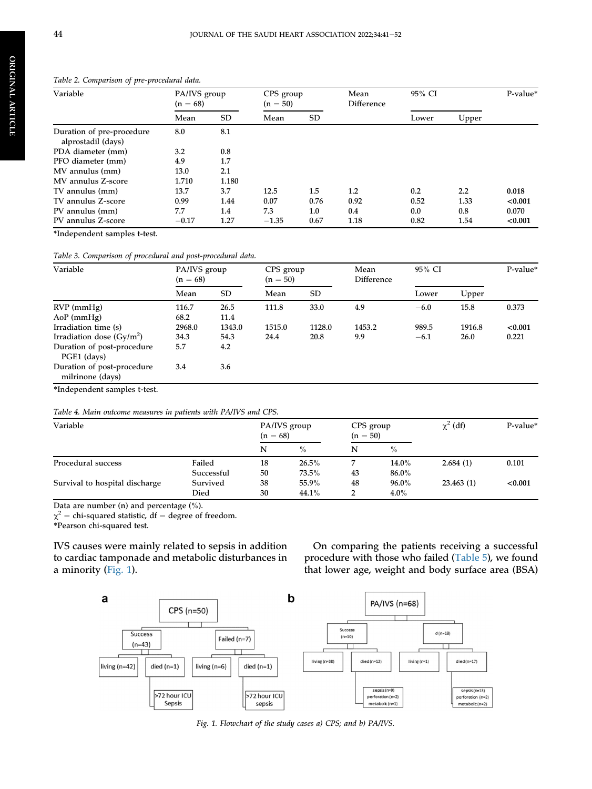ORIGINAL

**ORIGINAL ARTICLE** 

ARTICLE

<span id="page-4-0"></span>

| Table 2. Comparison of pre-procedural data.     |                            |           |                         |           |                    |        |       |          |  |  |
|-------------------------------------------------|----------------------------|-----------|-------------------------|-----------|--------------------|--------|-------|----------|--|--|
| Variable                                        | PA/IVS group<br>$(n = 68)$ |           | CPS group<br>$(n = 50)$ |           | Mean<br>Difference | 95% CI |       | P-value* |  |  |
|                                                 | Mean                       | <b>SD</b> | Mean                    | <b>SD</b> |                    | Lower  | Upper |          |  |  |
| Duration of pre-procedure<br>alprostadil (days) | 8.0                        | 8.1       |                         |           |                    |        |       |          |  |  |
| PDA diameter (mm)                               | 3.2                        | 0.8       |                         |           |                    |        |       |          |  |  |
| PFO diameter (mm)                               | 4.9                        | 1.7       |                         |           |                    |        |       |          |  |  |
| MV annulus (mm)                                 | 13.0                       | 2.1       |                         |           |                    |        |       |          |  |  |
| MV annulus Z-score                              | 1.710                      | 1.180     |                         |           |                    |        |       |          |  |  |
| TV annulus (mm)                                 | 13.7                       | 3.7       | 12.5                    | 1.5       | $1.2\,$            | 0.2    | 2.2   | 0.018    |  |  |
| TV annulus Z-score                              | 0.99                       | 1.44      | 0.07                    | 0.76      | 0.92               | 0.52   | 1.33  | < 0.001  |  |  |
| PV annulus (mm)                                 | 7.7                        | 1.4       | 7.3                     | 1.0       | 0.4                | 0.0    | 0.8   | 0.070    |  |  |

\*Independent samples t-test.

#### <span id="page-4-1"></span>Table 3. Comparison of procedural and post-procedural data.

| Variable                                       | PA/IVS group<br>$(n = 68)$ |           | CPS group<br>$(n = 50)$ |           | Mean<br>Difference | 95% CI |        | P-value* |
|------------------------------------------------|----------------------------|-----------|-------------------------|-----------|--------------------|--------|--------|----------|
|                                                | Mean                       | <b>SD</b> | Mean                    | <b>SD</b> |                    | Lower  | Upper  |          |
| $RVP$ (mmHg)                                   | 116.7                      | 26.5      | 111.8                   | 33.0      | 4.9                | $-6.0$ | 15.8   | 0.373    |
| AoP(mmHg)                                      | 68.2                       | 11.4      |                         |           |                    |        |        |          |
| Irradiation time (s)                           | 2968.0                     | 1343.0    | 1515.0                  | 1128.0    | 1453.2             | 989.5  | 1916.8 | < 0.001  |
| Irradiation dose $(Gy/m^2)$                    | 34.3                       | 54.3      | 24.4                    | 20.8      | 9.9                | $-6.1$ | 26.0   | 0.221    |
| Duration of post-procedure<br>PGE1 (days)      | 5.7                        | 4.2       |                         |           |                    |        |        |          |
| Duration of post-procedure<br>milrinone (days) | 3.4                        | 3.6       |                         |           |                    |        |        |          |

PV annulus Z-score  $-0.17$  1.27  $-1.35$  0.67 1.18 0.82 1.54 <0.001

\*Independent samples t-test.

#### <span id="page-4-2"></span>Table 4. Main outcome measures in patients with PA/IVS and CPS.

| Variable                       |            | PA/IVS group<br>$(n = 68)$               |          | CPS group<br>$(n = 50)$ |          | $\chi^2$ (df) | P-value* |
|--------------------------------|------------|------------------------------------------|----------|-------------------------|----------|---------------|----------|
|                                |            | N<br>$\frac{0}{0}$<br>$\frac{0}{0}$<br>N |          |                         |          |               |          |
| Procedural success             | Failed     | 18                                       | $26.5\%$ |                         | 14.0%    | 2.684(1)      | 0.101    |
|                                | Successful | 50                                       | $73.5\%$ | 43                      | 86.0%    |               |          |
| Survival to hospital discharge | Survived   | 38                                       | 55.9%    | 48                      | $96.0\%$ | 23.463(1)     | < 0.001  |
|                                | Died       | 30                                       | 44.1%    | 2                       | $4.0\%$  |               |          |

Data are number (n) and percentage (%).

 $\chi^2$  = chi-squared statistic, df = degree of freedom.

\*Pearson chi-squared test.

<span id="page-4-3"></span>IVS causes were mainly related to sepsis in addition to cardiac tamponade and metabolic disturbances in a minority ([Fig. 1\)](#page-4-3).

On comparing the patients receiving a successful procedure with those who failed ([Table 5](#page-5-0)), we found that lower age, weight and body surface area (BSA)



Fig. 1. Flowchart of the study cases a) CPS; and b) PA/IVS.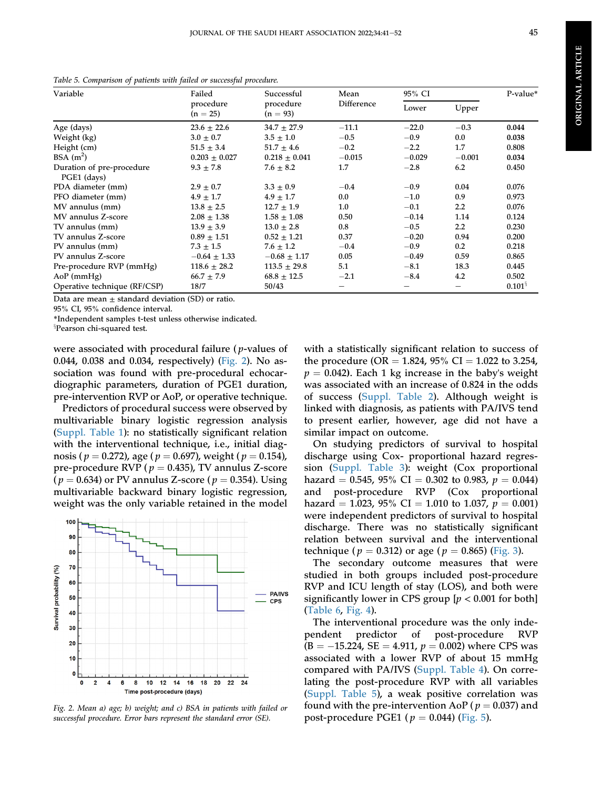**ORIGINAL ARTICLE** ORIGINAL ARTICLE

| Variable                                         | Failed                  | Successful              | Mean       | 95% CI   |                  | P-value*              |
|--------------------------------------------------|-------------------------|-------------------------|------------|----------|------------------|-----------------------|
|                                                  | procedure<br>$(n = 25)$ | procedure<br>$(n = 93)$ | Difference | Lower    | Upper            |                       |
| Age (days)                                       | $23.6 \pm 22.6$         | $34.7 \pm 27.9$         | $-11.1$    | $-22.0$  | $-0.3$           | 0.044                 |
| Weight (kg)                                      | $3.0 \pm 0.7$           | $3.5 \pm 1.0$           | $-0.5$     | $-0.9$   | $0.0\,$          | 0.038                 |
| Height (cm)                                      | $51.5 \pm 3.4$          | $51.7 \pm 4.6$          | $-0.2$     | $-2.2$   | 1.7              | 0.808                 |
| BSA $(m^2)$                                      | $0.203 \pm 0.027$       | $0.218 \pm 0.041$       | $-0.015$   | $-0.029$ | $-0.001$         | 0.034                 |
| Duration of pre-procedure<br>PGE1 (days)         | $9.3 \pm 7.8$           | $7.6 \pm 8.2$           | 1.7        | $-2.8$   | 6.2              | 0.450                 |
| PDA diameter (mm)                                | $2.9 \pm 0.7$           | $3.3 \pm 0.9$           | $-0.4$     | $-0.9$   | 0.04             | 0.076                 |
| PFO diameter (mm)                                | $4.9 \pm 1.7$           | $4.9 \pm 1.7$           | $0.0\,$    | $-1.0$   | 0.9              | 0.973                 |
| MV annulus (mm)                                  | $13.8 \pm 2.5$          | $12.7 \pm 1.9$          | 1.0        | $-0.1$   | $2.2\phantom{0}$ | 0.076                 |
| MV annulus Z-score                               | $2.08 \pm 1.38$         | $1.58 \pm 1.08$         | 0.50       | $-0.14$  | 1.14             | 0.124                 |
| TV annulus (mm)                                  | $13.9 \pm 3.9$          | $13.0 \pm 2.8$          | $0.8\,$    | $-0.5$   | $2.2\phantom{0}$ | 0.230                 |
| TV annulus Z-score                               | $0.89 \pm 1.51$         | $0.52 \pm 1.21$         | 0.37       | $-0.20$  | 0.94             | 0.200                 |
| PV annulus (mm)                                  | $7.3 \pm 1.5$           | $7.6 \pm 1.2$           | $-0.4$     | $-0.9$   | 0.2              | 0.218                 |
| PV annulus Z-score                               | $-0.64 \pm 1.33$        | $-0.68 \pm 1.17$        | 0.05       | $-0.49$  | 0.59             | 0.865                 |
| Pre-procedure RVP (mmHg)                         | $118.6 \pm 28.2$        | $113.5 \pm 29.8$        | 5.1        | $-8.1$   | 18.3             | 0.445                 |
| AoP(mmHg)                                        | $66.7 \pm 7.9$          | $68.8 \pm 12.5$         | $-2.1$     | $-8.4$   | 4.2              | 0.502                 |
| Operative technique (RF/CSP)                     | 18/7                    | 50/43                   |            |          |                  | $0.101^{\frac{5}{3}}$ |
| Data are mean i standard deviation (CD) or ratio |                         |                         |            |          |                  |                       |

<span id="page-5-0"></span>Table 5. Comparison of patients with failed or successful procedure.

Data are mean  $\pm$  standard deviation (SD) or ratio.

95% CI, 95% confidence interval.

\*Independent samples t-test unless otherwise indicated.

x Pearson chi-squared test.

were associated with procedural failure ( p-values of 0.044, 0.038 and 0.034, respectively) ([Fig. 2](#page-5-1)). No association was found with pre-procedural echocardiographic parameters, duration of PGE1 duration, pre-intervention RVP or AoP, or operative technique.

Predictors of procedural success were observed by multivariable binary logistic regression analysis [\(Suppl. Table 1](#page-9-0)): no statistically significant relation with the interventional technique, i.e., initial diagnosis ( $p = 0.272$ ), age ( $p = 0.697$ ), weight ( $p = 0.154$ ), pre-procedure RVP ( $p = 0.435$ ), TV annulus Z-score  $(p = 0.634)$  or PV annulus Z-score  $(p = 0.354)$ . Using multivariable backward binary logistic regression, weight was the only variable retained in the model

<span id="page-5-1"></span>

Fig. 2. Mean a) age; b) weight; and c) BSA in patients with failed or successful procedure. Error bars represent the standard error (SE).

with a statistically significant relation to success of the procedure (OR = 1.824, 95% CI = 1.022 to 3.254,  $p = 0.042$ ). Each 1 kg increase in the baby's weight was associated with an increase of 0.824 in the odds of success [\(Suppl. Table 2](#page-9-1)). Although weight is linked with diagnosis, as patients with PA/IVS tend to present earlier, however, age did not have a similar impact on outcome.

On studying predictors of survival to hospital discharge using Cox- proportional hazard regression ([Suppl. Table 3](#page-9-2)): weight (Cox proportional hazard = 0.545, 95% CI = 0.302 to 0.983,  $p = 0.044$ )<br>and post-procedure RVP (Cox proportional post-procedure RVP (Cox proportional hazard = 1.023, 95% CI = 1.010 to 1.037,  $p = 0.001$ ) were independent predictors of survival to hospital discharge. There was no statistically significant relation between survival and the interventional technique ( $p = 0.312$ ) or age ( $p = 0.865$ ) ([Fig. 3](#page-6-0)).

The secondary outcome measures that were studied in both groups included post-procedure RVP and ICU length of stay (LOS), and both were significantly lower in CPS group  $[p < 0.001$  for both] [\(Table 6,](#page-6-1) [Fig. 4](#page-6-2)).

The interventional procedure was the only independent predictor of post-procedure RVP  $(B = -15.224, SE = 4.911, p = 0.002)$  where CPS was associated with a lower RVP of about 15 mmHg compared with PA/IVS ([Suppl. Table 4\)](#page-9-3). On correlating the post-procedure RVP with all variables [\(Suppl. Table 5](#page-9-4)), a weak positive correlation was found with the pre-intervention AoP ( $p = 0.037$ ) and post-procedure PGE1 ( $p = 0.044$ ) [\(Fig. 5](#page-7-0)).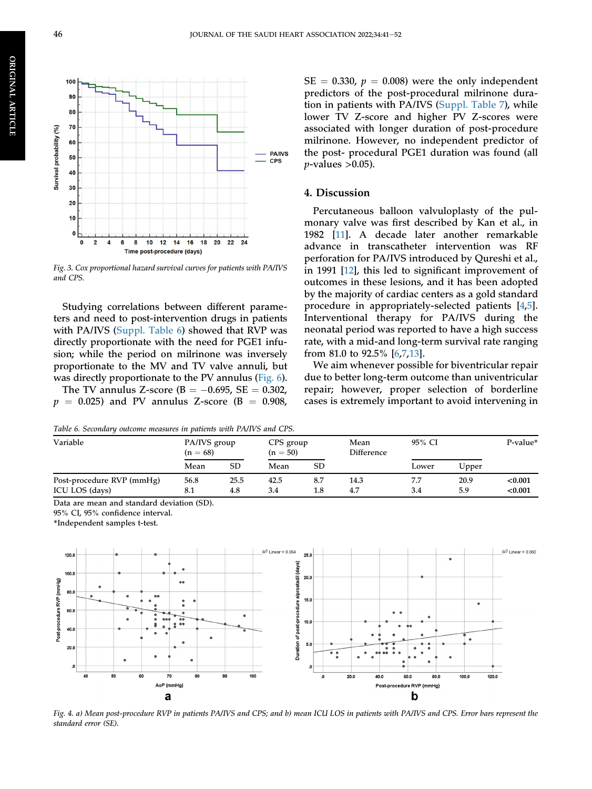<span id="page-6-0"></span>

Fig. 3. Cox proportional hazard survival curves for patients with PA/IVS and CPS.

Studying correlations between different parameters and need to post-intervention drugs in patients with PA/IVS [\(Suppl. Table 6\)](#page-10-0) showed that RVP was directly proportionate with the need for PGE1 infusion; while the period on milrinone was inversely proportionate to the MV and TV valve annuli, but was directly proportionate to the PV annulus ([Fig. 6\)](#page-7-1).

The TV annulus Z-score ( $B = -0.695$ ,  $SE = 0.302$ ,  $p = 0.025$ ) and PV annulus Z-score (B = 0.908,

<span id="page-6-1"></span>Table 6. Secondary outcome measures in patients with PA/IVS and CPS.

 $SE = 0.330$ ,  $p = 0.008$ ) were the only independent predictors of the post-procedural milrinone duration in patients with PA/IVS ([Suppl. Table 7\)](#page-10-1), while lower TV Z-score and higher PV Z-scores were associated with longer duration of post-procedure milrinone. However, no independent predictor of the post- procedural PGE1 duration was found (all  $p$ -values  $>0.05$ ).

#### 4. Discussion

Percutaneous balloon valvuloplasty of the pulmonary valve was first described by Kan et al., in 1982 [[11\]](#page-11-9). A decade later another remarkable advance in transcatheter intervention was RF perforation for PA/IVS introduced by Qureshi et al., in 1991 [\[12](#page-11-10)], this led to significant improvement of outcomes in these lesions, and it has been adopted by the majority of cardiac centers as a gold standard procedure in appropriately-selected patients [\[4](#page-11-3),[5\]](#page-11-4). Interventional therapy for PA/IVS during the neonatal period was reported to have a high success rate, with a mid-and long-term survival rate ranging from 81.0 to 92.5% [[6](#page-11-11),[7](#page-11-5),[13\]](#page-11-12).

We aim whenever possible for biventricular repair due to better long-term outcome than univentricular repair; however, proper selection of borderline cases is extremely important to avoid intervening in

| Variable                  | PA/IVS group<br>$(n = 68)$ |      | CPS group<br>$(n = 50)$ |     | Mean<br>Difference | 95% CI |       | P-value* |
|---------------------------|----------------------------|------|-------------------------|-----|--------------------|--------|-------|----------|
|                           | Mean                       | SD   | Mean                    | SD  |                    | Lower  | Upper |          |
| Post-procedure RVP (mmHg) | 56.8                       | 25.5 | 42.5                    | 8.7 | 14.3               | 7.7    | 20.9  | < 0.001  |
| ICU LOS (days)            | 8.1                        | 4.8  | 3.4                     | 1.8 | 4.7                | 3.4    | 5.9   | < 0.001  |

Data are mean and standard deviation (SD).

95% CI, 95% confidence interval.

<span id="page-6-2"></span>\*Independent samples t-test.



Fig. 4. a) Mean post-procedure RVP in patients PA/IVS and CPS; and b) mean ICU LOS in patients with PA/IVS and CPS. Error bars represent the standard error (SE).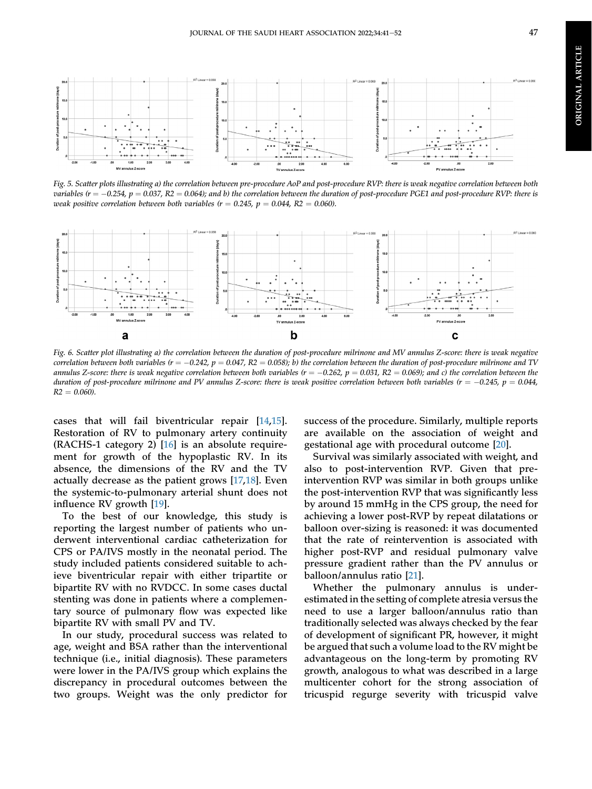<span id="page-7-0"></span>

Fig. 5. Scatter plots illustrating a) the correlation between pre-procedure AoP and post-procedure RVP: there is weak negative correlation between both variables ( $r = -0.254$ ,  $p = 0.037$ ,  $R2 = 0.064$ ); and b) the correlation between the duration of post-procedure PGE1 and post-procedure RVP: there is weak positive correlation between both variables ( $r = 0.245$ ,  $p = 0.044$ , R2 = 0.060).

<span id="page-7-1"></span>

Fig. 6. Scatter plot illustrating a) the correlation between the duration of post-procedure milrinone and MV annulus Z-score: there is weak negative correlation between both variables ( $r = -0.242$ ,  $p = 0.047$ ,  $R2 = 0.058$ ); b) the correlation between the duration of post-procedure milrinone and TV annulus Z-score: there is weak negative correlation between both variables  $(r = -0.262, p = 0.031, R2 = 0.069)$ ; and c) the correlation between the duration of post-procedure milrinone and PV annulus Z-score: there is weak positive correlation between both variables ( $r = -0.245$ ,  $p = 0.044$ ,  $R2 = 0.060$ ).

cases that will fail biventricular repair [[14](#page-11-13)[,15](#page-11-14)]. Restoration of RV to pulmonary artery continuity (RACHS-1 category 2) [[16\]](#page-11-15) is an absolute requirement for growth of the hypoplastic RV. In its absence, the dimensions of the RV and the TV actually decrease as the patient grows [[17](#page-11-16)[,18](#page-11-17)]. Even the systemic-to-pulmonary arterial shunt does not influence RV growth [[19\]](#page-11-18).

To the best of our knowledge, this study is reporting the largest number of patients who underwent interventional cardiac catheterization for CPS or PA/IVS mostly in the neonatal period. The study included patients considered suitable to achieve biventricular repair with either tripartite or bipartite RV with no RVDCC. In some cases ductal stenting was done in patients where a complementary source of pulmonary flow was expected like bipartite RV with small PV and TV.

In our study, procedural success was related to age, weight and BSA rather than the interventional technique (i.e., initial diagnosis). These parameters were lower in the PA/IVS group which explains the discrepancy in procedural outcomes between the two groups. Weight was the only predictor for

success of the procedure. Similarly, multiple reports are available on the association of weight and gestational age with procedural outcome [\[20](#page-11-19)].

Survival was similarly associated with weight, and also to post-intervention RVP. Given that preintervention RVP was similar in both groups unlike the post-intervention RVP that was significantly less by around 15 mmHg in the CPS group, the need for achieving a lower post-RVP by repeat dilatations or balloon over-sizing is reasoned: it was documented that the rate of reintervention is associated with higher post-RVP and residual pulmonary valve pressure gradient rather than the PV annulus or balloon/annulus ratio [[21\]](#page-11-20).

Whether the pulmonary annulus is underestimated in the setting of complete atresia versus the need to use a larger balloon/annulus ratio than traditionally selected was always checked by the fear of development of significant PR, however, it might be argued that such a volume load to the RV might be advantageous on the long-term by promoting RV growth, analogous to what was described in a large multicenter cohort for the strong association of tricuspid regurge severity with tricuspid valve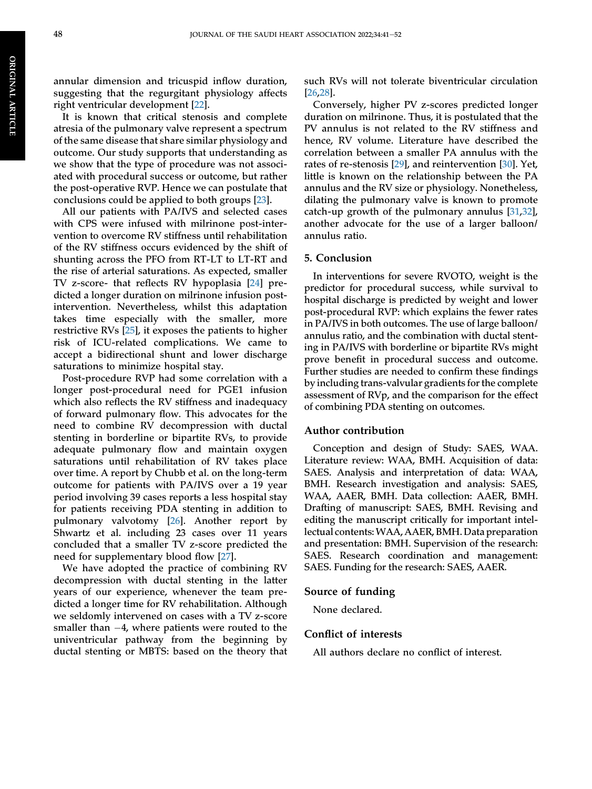It is known that critical stenosis and complete atresia of the pulmonary valve represent a spectrum of the same disease that share similar physiology and outcome. Our study supports that understanding as we show that the type of procedure was not associated with procedural success or outcome, but rather the post-operative RVP. Hence we can postulate that conclusions could be applied to both groups [\[23](#page-11-22)].

All our patients with PA/IVS and selected cases with CPS were infused with milrinone post-intervention to overcome RV stiffness until rehabilitation of the RV stiffness occurs evidenced by the shift of shunting across the PFO from RT-LT to LT-RT and the rise of arterial saturations. As expected, smaller TV z-score- that reflects RV hypoplasia [[24\]](#page-11-23) predicted a longer duration on milrinone infusion postintervention. Nevertheless, whilst this adaptation takes time especially with the smaller, more restrictive RVs [[25\]](#page-11-24), it exposes the patients to higher risk of ICU-related complications. We came to accept a bidirectional shunt and lower discharge saturations to minimize hospital stay.

Post-procedure RVP had some correlation with a longer post-procedural need for PGE1 infusion which also reflects the RV stiffness and inadequacy of forward pulmonary flow. This advocates for the need to combine RV decompression with ductal stenting in borderline or bipartite RVs, to provide adequate pulmonary flow and maintain oxygen saturations until rehabilitation of RV takes place over time. A report by Chubb et al. on the long-term outcome for patients with PA/IVS over a 19 year period involving 39 cases reports a less hospital stay for patients receiving PDA stenting in addition to pulmonary valvotomy [\[26](#page-11-25)]. Another report by Shwartz et al. including 23 cases over 11 years concluded that a smaller TV z-score predicted the need for supplementary blood flow [\[27](#page-11-26)].

We have adopted the practice of combining RV decompression with ductal stenting in the latter years of our experience, whenever the team predicted a longer time for RV rehabilitation. Although we seldomly intervened on cases with a TV z-score smaller than  $-4$ , where patients were routed to the univentricular pathway from the beginning by ductal stenting or MBTS: based on the theory that such RVs will not tolerate biventricular circulation [\[26](#page-11-25),[28\]](#page-12-0).

Conversely, higher PV z-scores predicted longer duration on milrinone. Thus, it is postulated that the PV annulus is not related to the RV stiffness and hence, RV volume. Literature have described the correlation between a smaller PA annulus with the rates of re-stenosis [[29\]](#page-12-1), and reintervention [[30\]](#page-12-2). Yet, little is known on the relationship between the PA annulus and the RV size or physiology. Nonetheless, dilating the pulmonary valve is known to promote catch-up growth of the pulmonary annulus [\[31](#page-12-3),[32\]](#page-12-4), another advocate for the use of a larger balloon/ annulus ratio.

#### 5. Conclusion

In interventions for severe RVOTO, weight is the predictor for procedural success, while survival to hospital discharge is predicted by weight and lower post-procedural RVP: which explains the fewer rates in PA/IVS in both outcomes. The use of large balloon/ annulus ratio, and the combination with ductal stenting in PA/IVS with borderline or bipartite RVs might prove benefit in procedural success and outcome. Further studies are needed to confirm these findings by including trans-valvular gradients for the complete assessment of RVp, and the comparison for the effect of combining PDA stenting on outcomes.

#### Author contribution

Conception and design of Study: SAES, WAA. Literature review: WAA, BMH. Acquisition of data: SAES. Analysis and interpretation of data: WAA, BMH. Research investigation and analysis: SAES, WAA, AAER, BMH. Data collection: AAER, BMH. Drafting of manuscript: SAES, BMH. Revising and editing the manuscript critically for important intellectual contents:WAA, AAER, BMH. Data preparation and presentation: BMH. Supervision of the research: SAES. Research coordination and management: SAES. Funding for the research: SAES, AAER.

#### Source of funding

None declared.

#### Conflict of interests

All authors declare no conflict of interest.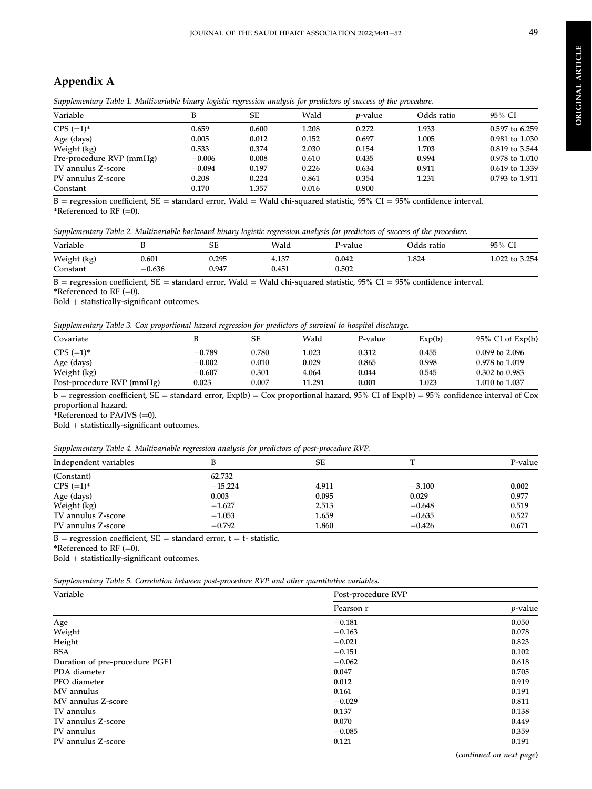### Appendix A

| Variable                 | В        | SЕ    | Wald  | <i>v</i> -value | Odds ratio | 95% CI         |
|--------------------------|----------|-------|-------|-----------------|------------|----------------|
| $CPS (=1)^*$             | 0.659    | 0.600 | 1.208 | 0.272           | 1.933      | 0.597 to 6.259 |
| Age (days)               | 0.005    | 0.012 | 0.152 | 0.697           | 1.005      | 0.981 to 1.030 |
| Weight (kg)              | 0.533    | 0.374 | 2.030 | 0.154           | 1.703      | 0.819 to 3.544 |
| Pre-procedure RVP (mmHg) | $-0.006$ | 0.008 | 0.610 | 0.435           | 0.994      | 0.978 to 1.010 |
| TV annulus Z-score       | $-0.094$ | 0.197 | 0.226 | 0.634           | 0.911      | 0.619 to 1.339 |
| PV annulus Z-score       | 0.208    | 0.224 | 0.861 | 0.354           | 1.231      | 0.793 to 1.911 |
| Constant                 | 0.170    | 1.357 | 0.016 | 0.900           |            |                |

<span id="page-9-0"></span>Supplementary Table 1. Multivariable binary logistic regression analysis for predictors of success of the procedure.

 $B =$  regression coefficient,  $SE =$  standard error, Wald = Wald chi-squared statistic, 95% CI = 95% confidence interval. \*Referenced to RF  $(=0)$ .

<span id="page-9-1"></span>Supplementary Table 2. Multivariable backward binary logistic regression analysis for predictors of success of the procedure.

| Variable    |          | SЕ    | Wald  | P-value | Odds ratio | 95% CI    |
|-------------|----------|-------|-------|---------|------------|-----------|
| Weight (kg) | ).601    | 0.295 | 4.137 | 0.042   | 1.824      | 3.254     |
| Constant    | $-0.636$ | 0.947 | 0.451 | 0.502   |            | 1.022 to∶ |

 $\overline{B}$  = regression coefficient, SE = standard error, Wald = Wald chi-squared statistic, 95% CI = 95% confidence interval. \*Referenced to RF  $(=0)$ .

 $Bold + statistically-significant outcomes.$ 

<span id="page-9-2"></span>Supplementary Table 3. Cox proportional hazard regression for predictors of survival to hospital discharge.

| Covariate                 |          | SЕ    | Wald   | P-value | Exp(b) | $95\%$ CI of Exp(b) |
|---------------------------|----------|-------|--------|---------|--------|---------------------|
| $CPS (=1)^*$              | $-0.789$ | 0.780 | 1.023  | 0.312   | 0.455  | $0.099$ to 2.096    |
| Age (days)                | $-0.002$ | 0.010 | 0.029  | 0.865   | 0.998  | 0.978 to 1.019      |
| Weight (kg)               | $-0.607$ | 0.301 | 4.064  | 0.044   | 0.545  | $0.302$ to $0.983$  |
| Post-procedure RVP (mmHg) | 0.023    | 0.007 | 11.291 | 0.001   | 1.023  | 1.010 to 1.037      |

 $\overline{b}$  = regression coefficient, SE = standard error, Exp(b) = Cox proportional hazard, 95% CI of Exp(b) = 95% confidence interval of Cox proportional hazard.

\*Referenced to PA/IVS  $(=0)$ .

 $Bold + statistically-significant outcomes.$ 

<span id="page-9-3"></span>

| Supplementary Table 4. Multivariable regression analysis for predictors of post-procedure RVP. |  |  |  |  |
|------------------------------------------------------------------------------------------------|--|--|--|--|
|                                                                                                |  |  |  |  |

| .<br>$\overline{ }$   | $\cdot$   |       |          |         |
|-----------------------|-----------|-------|----------|---------|
| Independent variables |           | SE    |          | P-value |
| (Constant)            | 62.732    |       |          |         |
| $CPS (=1)^*$          | $-15.224$ | 4.911 | $-3.100$ | 0.002   |
| Age (days)            | 0.003     | 0.095 | 0.029    | 0.977   |
| Weight (kg)           | $-1.627$  | 2.513 | $-0.648$ | 0.519   |
| TV annulus Z-score    | $-1.053$  | 1.659 | $-0.635$ | 0.527   |
| PV annulus Z-score    | $-0.792$  | 1.860 | $-0.426$ | 0.671   |

 $B =$  regression coefficient,  $SE =$  standard error,  $t =$  t- statistic.

\*Referenced to RF  $(=0)$ .

 $\text{Bold} + \text{statistically-significant outcomes}.$ 

<span id="page-9-4"></span>Supplementary Table 5. Correlation between post-procedure RVP and other quantitative variables.

| Variable                       | Post-procedure RVP |            |  |  |
|--------------------------------|--------------------|------------|--|--|
|                                | Pearson r          | $p$ -value |  |  |
| Age                            | $-0.181$           | 0.050      |  |  |
| Weight                         | $-0.163$           | 0.078      |  |  |
| Height                         | $-0.021$           | 0.823      |  |  |
| <b>BSA</b>                     | $-0.151$           | 0.102      |  |  |
| Duration of pre-procedure PGE1 | $-0.062$           | 0.618      |  |  |
| PDA diameter                   | 0.047              | 0.705      |  |  |
| PFO diameter                   | 0.012              | 0.919      |  |  |
| MV annulus                     | 0.161              | 0.191      |  |  |
| MV annulus Z-score             | $-0.029$           | 0.811      |  |  |
| TV annulus                     | 0.137              | 0.138      |  |  |
| TV annulus Z-score             | 0.070              | 0.449      |  |  |
| PV annulus                     | $-0.085$           | 0.359      |  |  |
| PV annulus Z-score             | 0.121              | 0.191      |  |  |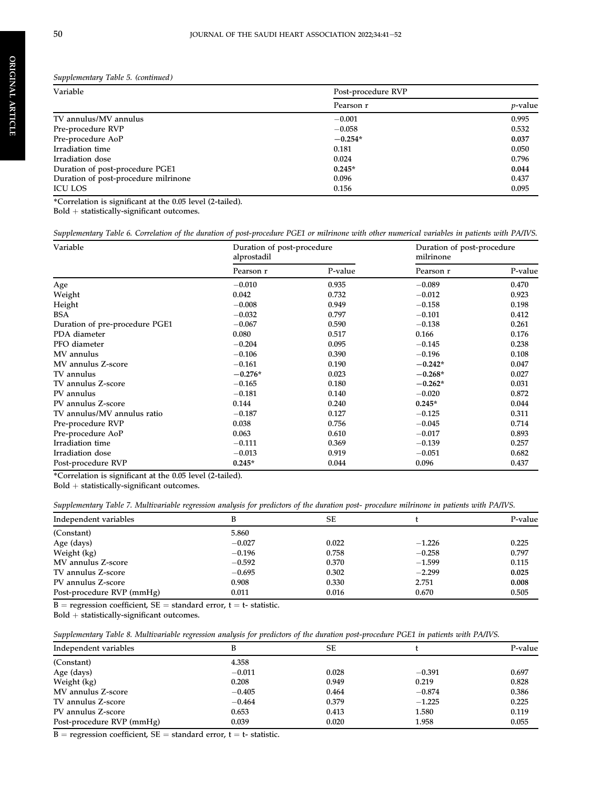ORIGINAL

ORIGINAL ARTICLE

ARTICLE

Supplementary Table 5. (continued)

| Variable                             | Post-procedure RVP |                 |
|--------------------------------------|--------------------|-----------------|
|                                      | Pearson r          | <i>p</i> -value |
| TV annulus/MV annulus                | $-0.001$           | 0.995           |
| Pre-procedure RVP                    | $-0.058$           | 0.532           |
| Pre-procedure AoP                    | $-0.254*$          | 0.037           |
| Irradiation time                     | 0.181              | 0.050           |
| Irradiation dose                     | 0.024              | 0.796           |
| Duration of post-procedure PGE1      | $0.245*$           | 0.044           |
| Duration of post-procedure milrinone | 0.096              | 0.437           |
| <b>ICU LOS</b>                       | 0.156              | 0.095           |

\*Correlation is significant at the 0.05 level (2-tailed).

 $Bold + statistically$ -significant outcomes.

<span id="page-10-0"></span>Supplementary Table 6. Correlation of the duration of post-procedure PGE1 or milrinone with other numerical variables in patients with PA/IVS.

| Variable                       | Duration of post-procedure<br>alprostadil |         | Duration of post-procedure<br>milrinone |         |  |
|--------------------------------|-------------------------------------------|---------|-----------------------------------------|---------|--|
|                                | Pearson r                                 | P-value | Pearson r                               | P-value |  |
| Age                            | $-0.010$                                  | 0.935   | $-0.089$                                | 0.470   |  |
| Weight                         | 0.042                                     | 0.732   | $-0.012$                                | 0.923   |  |
| Height                         | $-0.008$                                  | 0.949   | $-0.158$                                | 0.198   |  |
| <b>BSA</b>                     | $-0.032$                                  | 0.797   | $-0.101$                                | 0.412   |  |
| Duration of pre-procedure PGE1 | $-0.067$                                  | 0.590   | $-0.138$                                | 0.261   |  |
| PDA diameter                   | 0.080                                     | 0.517   | 0.166                                   | 0.176   |  |
| PFO diameter                   | $-0.204$                                  | 0.095   | $-0.145$                                | 0.238   |  |
| MV annulus                     | $-0.106$                                  | 0.390   | $-0.196$                                | 0.108   |  |
| MV annulus Z-score             | $-0.161$                                  | 0.190   | $-0.242*$                               | 0.047   |  |
| TV annulus                     | $-0.276*$                                 | 0.023   | $-0.268*$                               | 0.027   |  |
| TV annulus Z-score             | $-0.165$                                  | 0.180   | $-0.262*$                               | 0.031   |  |
| PV annulus                     | $-0.181$                                  | 0.140   | $-0.020$                                | 0.872   |  |
| PV annulus Z-score             | 0.144                                     | 0.240   | $0.245*$                                | 0.044   |  |
| TV annulus/MV annulus ratio    | $-0.187$                                  | 0.127   | $-0.125$                                | 0.311   |  |
| Pre-procedure RVP              | 0.038                                     | 0.756   | $-0.045$                                | 0.714   |  |
| Pre-procedure AoP              | 0.063                                     | 0.610   | $-0.017$                                | 0.893   |  |
| Irradiation time               | $-0.111$                                  | 0.369   | $-0.139$                                | 0.257   |  |
| Irradiation dose               | $-0.013$                                  | 0.919   | $-0.051$                                | 0.682   |  |
| Post-procedure RVP             | $0.245*$                                  | 0.044   | 0.096                                   | 0.437   |  |

\*Correlation is significant at the 0.05 level (2-tailed).

 $Bold +$  statistically-significant outcomes.

<span id="page-10-1"></span>

|  |  |  |  | Supplementary Table 7. Multivariable regression analysis for predictors of the duration post- procedure milrinone in patients with PA/IVS. |  |
|--|--|--|--|--------------------------------------------------------------------------------------------------------------------------------------------|--|
|  |  |  |  |                                                                                                                                            |  |

| Independent variables     |          | SЕ    |          | P-value |
|---------------------------|----------|-------|----------|---------|
| (Constant)                | 5.860    |       |          |         |
| Age (days)                | $-0.027$ | 0.022 | $-1.226$ | 0.225   |
| Weight (kg)               | $-0.196$ | 0.758 | $-0.258$ | 0.797   |
| MV annulus Z-score        | $-0.592$ | 0.370 | $-1.599$ | 0.115   |
| TV annulus Z-score        | $-0.695$ | 0.302 | $-2.299$ | 0.025   |
| PV annulus Z-score        | 0.908    | 0.330 | 2.751    | 0.008   |
| Post-procedure RVP (mmHg) | 0.011    | 0.016 | 0.670    | 0.505   |

 $B =$  regression coefficient,  $SE =$  standard error,  $t =$  t- statistic.

 $Bold +$  statistically-significant outcomes.

|  |  | Supplementary Table 8. Multivariable regression analysis for predictors of the duration post-procedure PGE1 in patients with PA/IVS. |  |  |  |  |  |
|--|--|--------------------------------------------------------------------------------------------------------------------------------------|--|--|--|--|--|
|--|--|--------------------------------------------------------------------------------------------------------------------------------------|--|--|--|--|--|

| Independent variables     |          | SЕ    |          | P-value |
|---------------------------|----------|-------|----------|---------|
| (Constant)                | 4.358    |       |          |         |
| Age (days)                | $-0.011$ | 0.028 | $-0.391$ | 0.697   |
| Weight (kg)               | 0.208    | 0.949 | 0.219    | 0.828   |
| MV annulus Z-score        | $-0.405$ | 0.464 | $-0.874$ | 0.386   |
| TV annulus Z-score        | $-0.464$ | 0.379 | $-1.225$ | 0.225   |
| PV annulus Z-score        | 0.653    | 0.413 | 1.580    | 0.119   |
| Post-procedure RVP (mmHg) | 0.039    | 0.020 | 1.958    | 0.055   |

 $\overline{B}$  = regression coefficient, SE = standard error, t = t- statistic.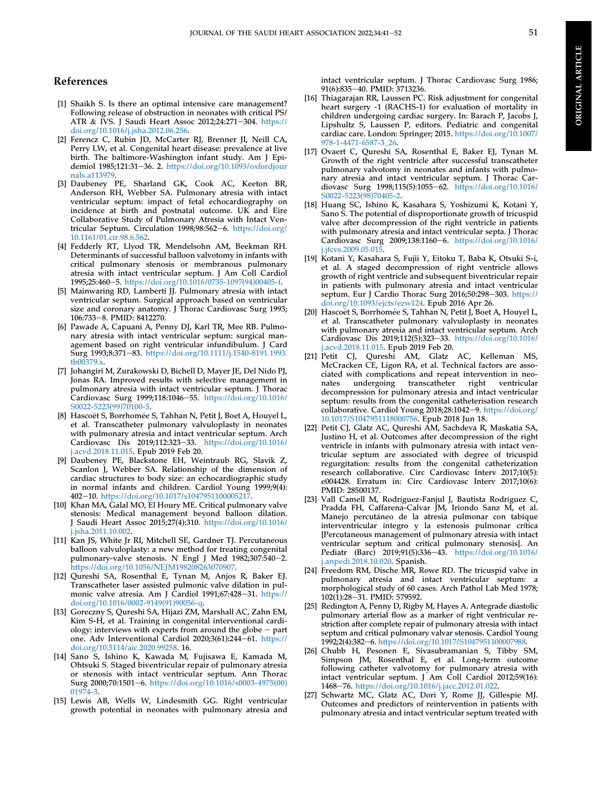#### References

- <span id="page-11-0"></span>[1] Shaikh S. Is there an optimal intensive care management? Following release of obstruction in neonates with critical PS/ ATR & IVS. J Saudi Heart Assoc 2012;24:271-304. [https://](https://doi.org/10.1016/j.jsha.2012.06.256) [doi.org/10.1016/j.jsha.2012.06.256.](https://doi.org/10.1016/j.jsha.2012.06.256)
- <span id="page-11-1"></span>[2] Ferencz C, Rubin JD, McCarter RJ, Brenner JI, Neill CA, Perry LW, et al. Congenital heart disease: prevalence at live birth. The baltimore-Washington infant study. Am J Epidemiol 1985;121:31-36. 2. [https://doi.org/10.1093/oxfordjour](https://doi.org/10.1093/oxfordjournals.a113979) [nals.a113979](https://doi.org/10.1093/oxfordjournals.a113979).
- <span id="page-11-2"></span>[3] Daubeney PE, Sharland GK, Cook AC, Keeton BR, Anderson RH, Webber SA. Pulmonary atresia with intact ventricular septum: impact of fetal echocardiography on incidence at birth and postnatal outcome. UK and Eire Collaborative Study of Pulmonary Atresia with Intact Ventricular Septum. Circulation  $1998;98:562-6$ . [https://doi.org/](https://doi.org/10.1161/01.cir.98.6.562) [10.1161/01.cir.98.6.562.](https://doi.org/10.1161/01.cir.98.6.562)
- <span id="page-11-3"></span>[4] Fedderly RT, Llyod TR, Mendelsohn AM, Beekman RH. Determinants of successful balloon valvotomy in infants with critical pulmonary stenosis or membranous pulmonary atresia with intact ventricular septum. J Am Coll Cardiol 1995;25:460-5. [https://doi.org/10.1016/0735-1097\(94\)00405-f](https://doi.org/10.1016/0735-1097(94)00405-f).
- <span id="page-11-4"></span>[5] Mainwaring RD, Lamberti JJ. Pulmonary atresia with intact ventricular septum. Surgical approach based on ventricular size and coronary anatomy. J Thorac Cardiovasc Surg 1993; 106:733-8. PMID: 8412270.
- <span id="page-11-11"></span>[6] Pawade A, Capuani A, Penny DJ, Karl TR, Mee RB. Pulmonary atresia with intact ventricular septum: surgical management based on right ventricular infundibulum. J Card Surg 1993;8:371-83. [https://doi.org/10.1111/j.1540-8191.1993.](https://doi.org/10.1111/j.1540-8191.1993.tb00379.x) [tb00379.x.](https://doi.org/10.1111/j.1540-8191.1993.tb00379.x)
- <span id="page-11-5"></span>[7] Johangiri M, Zurakowski D, Bichell D, Mayer JE, Del Nido PJ, Jonas RA. Improved results with selective management in pulmonary atresia with intact ventricular septum. J Thorac Cardiovasc Surg 1999;118:1046-55. [https://doi.org/10.1016/](https://doi.org/10.1016/S0022-5223(99)70100-5) [S0022-5223\(99\)70100-5](https://doi.org/10.1016/S0022-5223(99)70100-5).
- <span id="page-11-6"></span>[8] Hascoët S, Borrhomée S, Tahhan N, Petit J, Boet A, Houyel L, et al. Transcatheter pulmonary valvuloplasty in neonates with pulmonary atresia and intact ventricular septum. Arch Cardiovasc Dis 2019;112:323-33. [https://doi.org/10.1016/](https://doi.org/10.1016/j.acvd.2018.11.015) acvd.2018.11.015. Epub 2019 Feb 20.
- <span id="page-11-7"></span>[9] Daubeney PE, Blackstone EH, Weintraub RG, Slavik Z, Scanlon J, Webber SA. Relationship of the dimension of cardiac structures to body size: an echocardiographic study in normal infants and children. Cardiol Young 1999;9(4): 402-10. <https://doi.org/10.1017/s1047951100005217>.
- <span id="page-11-8"></span>[10] Khan MA, Galal MO, El Houry ME. Critical pulmonary valve stenosis: Medical management beyond balloon dilation. J Saudi Heart Assoc 2015;27(4):310. [https://doi.org/10.1016/](https://doi.org/10.1016/j.jsha.2011.10.002) [j.jsha.2011.10.002](https://doi.org/10.1016/j.jsha.2011.10.002).
- <span id="page-11-9"></span>[11] Kan JS, White Jr RI, Mitchell SE, Gardner TJ. Percutaneous balloon valvuloplasty: a new method for treating congenital pulmonary-valve stenosis. N Engl J Med 1982;307:540-2. <https://doi.org/10.1056/NEJM198208263070907>.
- <span id="page-11-10"></span>[12] Qureshi SA, Rosenthal E, Tynan M, Anjos R, Baker EJ. Transcatheter laser assisted pulmonic valve dilation in pulmonic valve atresia. Am J Cardiol 1991;67:428-31. [https://](https://doi.org/10.1016/0002-9149(91)90056-q) [doi.org/10.1016/0002-9149\(91\)90056-q](https://doi.org/10.1016/0002-9149(91)90056-q).
- <span id="page-11-12"></span>[13] Goreczny S, Qureshi SA, Hijazi ZM, Marshall AC, Zahn EM, Kim S-H, et al. Training in congenital interventional cardiology: interviews with experts from around the globe  $-$  part one. Adv Interventional Cardiol 2020;3(61):244-61. [https://](https://doi.org/10.5114/aic.2020.99258) [doi.org/10.5114/aic.2020.99258](https://doi.org/10.5114/aic.2020.99258). 16.
- <span id="page-11-13"></span>[14] Sano S, Ishino K, Kawada M, Fujisawa E, Kamada M, Ohtsuki S. Staged biventricular repair of pulmonary atresia or stenosis with intact ventricular septum. Ann Thorac Surg 2000;70:1501-6. [https://doi.org/10.1016/s0003-4975\(00\)](https://doi.org/10.1016/s0003-4975(00)01974-3) [01974-3](https://doi.org/10.1016/s0003-4975(00)01974-3).
- <span id="page-11-14"></span>[15] Lewis AB, Wells W, Lindesmith GG. Right ventricular growth potential in neonates with pulmonary atresia and

intact ventricular septum. J Thorac Cardiovasc Surg 1986; 91(6):835-40. PMID: 3713236.

- <span id="page-11-15"></span>[16] Thiagarajan RR, Laussen PC. Risk adjustment for congenital heart surgery -1 (RACHS-1) for evaluation of mortality in children undergoing cardiac surgery. In: Barach P, Jacobs J, Lipshultz S, Laussen P, editors. Pediatric and congenital cardiac care. London: Springer; 2015. [https://doi.org/10.1007/](https://doi.org/10.1007/978-1-4471-6587-3_26) [978-1-4471-6587-3\\_26](https://doi.org/10.1007/978-1-4471-6587-3_26).
- <span id="page-11-16"></span>[17] Ovaert C, Qureshi SA, Rosenthal E, Baker EJ, Tynan M. Growth of the right ventricle after successful transcatheter pulmonary valvotomy in neonates and infants with pulmonary atresia and intact ventricular septum. J Thorac Cardiovasc Surg 1998;115(5):1055-62. [https://doi.org/10.1016/](https://doi.org/10.1016/S0022-5223(98)70405-2) [S0022-5223\(98\)70405-2.](https://doi.org/10.1016/S0022-5223(98)70405-2)
- <span id="page-11-17"></span>[18] Huang SC, Ishino K, Kasahara S, Yoshizumi K, Kotani Y, Sano S. The potential of disproportionate growth of tricuspid valve after decompression of the right ventricle in patients with pulmonary atresia and intact ventricular septa. J Thorac Cardiovasc Surg 2009;138:1160-6. [https://doi.org/10.1016/](https://doi.org/10.1016/j.jtcvs.2009.05.015) [j.jtcvs.2009.05.015](https://doi.org/10.1016/j.jtcvs.2009.05.015).
- <span id="page-11-18"></span>[19] Kotani Y, Kasahara S, Fujii Y, Eitoku T, Baba K, Otsuki S-i, et al. A staged decompression of right ventricle allows growth of right ventricle and subsequent biventricular repair in patients with pulmonary atresia and intact ventricular septum. Eur J Cardio Thorac Surg 2016;50:298-303. [https://](https://doi.org/10.1093/ejcts/ezw124) [doi.org/10.1093/ejcts/ezw124.](https://doi.org/10.1093/ejcts/ezw124) Epub 2016 Apr 26.
- <span id="page-11-19"></span>[20] Hascoet S, Borrhomée S, Tahhan N, Petit J, Boet A, Houyel L, et al. Transcatheter pulmonary valvuloplasty in neonates with pulmonary atresia and intact ventricular septum. Arch Cardiovasc Dis 2019;112(5):323-33. [https://doi.org/10.1016/](https://doi.org/10.1016/j.acvd.2018.11.015) [j.acvd.2018.11.015.](https://doi.org/10.1016/j.acvd.2018.11.015) Epub 2019 Feb 20.
- <span id="page-11-20"></span>[21] Petit CJ, Qureshi AM, Glatz AC, Kelleman MS, McCracken CE, Ligon RA, et al. Technical factors are associated with complications and repeat intervention in neonates undergoing transcatheter right ventricular decompression for pulmonary atresia and intact ventricular septum: results from the congenital catheterisation research collaborative. Cardiol Young 2018;28:1042-9. [https://doi.org/](https://doi.org/10.1017/S1047951118000756) [10.1017/S1047951118000756](https://doi.org/10.1017/S1047951118000756). Epub 2018 Jun 18.
- <span id="page-11-21"></span>[22] Petit CJ, Glatz AC, Qureshi AM, Sachdeva R, Maskatia SA, Justino H, et al. Outcomes after decompression of the right ventricle in infants with pulmonary atresia with intact ventricular septum are associated with degree of tricuspid regurgitation: results from the congenital catheterization research collaborative. Circ Cardiovasc Interv 2017;10(5): e004428. Erratum in: Circ Cardiovasc Interv 2017;10(6): PMID: 28500137.
- <span id="page-11-22"></span>[23] Vall Camell M, Rodríguez-Fanjul J, Bautista Rodríguez C, Pradda FH, Caffarena-Calvar JM, Iriondo Sanz M, et al. Manejo percutáneo de la atresia pulmonar con tabique interventricular íntegro y la estenosis pulmonar crítica [Percutaneous management of pulmonary atresia with intact ventricular septum and critical pulmonary stenosis]. An Pediatr (Barc) 2019;91(5):336-43. [https://doi.org/10.1016/](https://doi.org/10.1016/j.anpedi.2018.10.020) [j.anpedi.2018.10.020.](https://doi.org/10.1016/j.anpedi.2018.10.020) Spanish.
- <span id="page-11-23"></span>[24] Freedom RM, Dische MR, Rowe RD. The tricuspid valve in pulmonary atresia and intact ventricular septum: a morphological study of 60 cases. Arch Pathol Lab Med 1978; 102(1):28-31. PMID: 579592.
- <span id="page-11-24"></span>[25] Redington A, Penny D, Rigby M, Hayes A. Antegrade diastolic pulmonary arterial flow as a marker of right ventricular restriction after complete repair of pulmonary atresia with intact septum and critical pulmonary valvar stenosis. Cardiol Young 1992;2(4):382-6. https://doi.org/10.1017/S1047951100007988
- <span id="page-11-25"></span>[26] Chubb H, Pesonen E, Sivasubramanian S, Tibby SM, Simpson JM, Rosenthal E, et al. Long-term outcome following catheter valvotomy for pulmonary atresia with intact ventricular septum. J Am Coll Cardiol 2012;59(16): 1468e76. [https://doi.org/10.1016/j.jacc.2012.01.022.](https://doi.org/10.1016/j.jacc.2012.01.022)
- <span id="page-11-26"></span>[27] Schwartz MC, Glatz AC, Dori Y, Rome JJ, Gillespie MJ. Outcomes and predictors of reintervention in patients with pulmonary atresia and intact ventricular septum treated with